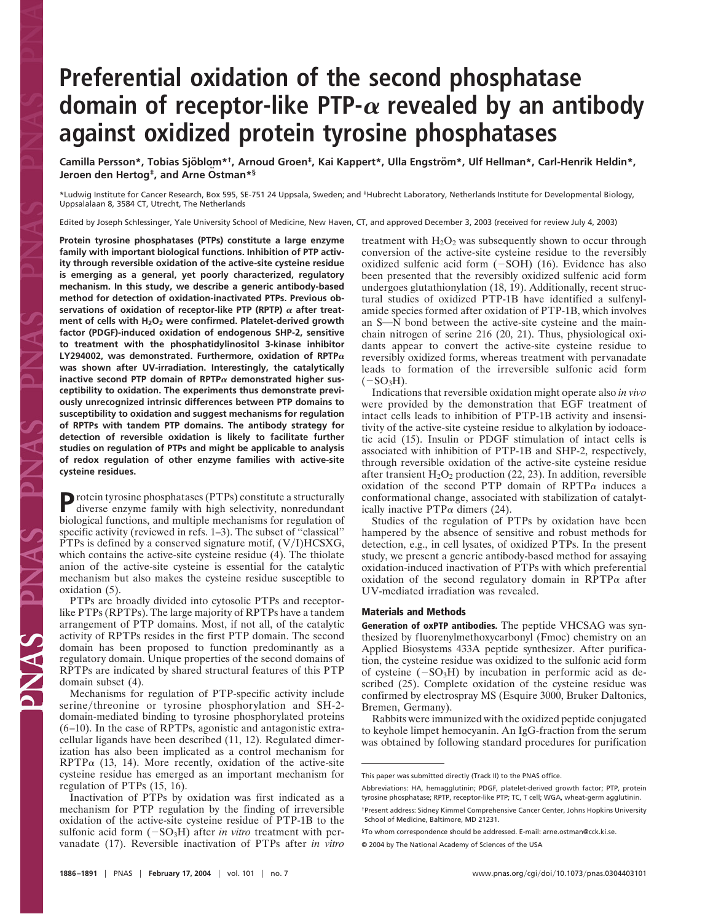## **Preferential oxidation of the second phosphatase** domain of receptor-like PTP- $\alpha$  revealed by an antibody **against oxidized protein tyrosine phosphatases**

**Camilla Persson\*, Tobias Sjo¨ blom\*†, Arnoud Groen‡, Kai Kappert\*, Ulla Engstro¨ m\*, Ulf Hellman\*, Carl-Henrik Heldin\*, Jeroen den Hertog‡, and Arne Ostman\* ¨ §**

\*Ludwig Institute for Cancer Research, Box 595, SE-751 24 Uppsala, Sweden; and ‡Hubrecht Laboratory, Netherlands Institute for Developmental Biology, Uppsalalaan 8, 3584 CT, Utrecht, The Netherlands

Edited by Joseph Schlessinger, Yale University School of Medicine, New Haven, CT, and approved December 3, 2003 (received for review July 4, 2003)

**Protein tyrosine phosphatases (PTPs) constitute a large enzyme family with important biological functions. Inhibition of PTP activity through reversible oxidation of the active-site cysteine residue is emerging as a general, yet poorly characterized, regulatory mechanism. In this study, we describe a generic antibody-based method for detection of oxidation-inactivated PTPs. Previous ob**servations of oxidation of receptor-like PTP (RPTP)  $\alpha$  after treat**ment of cells with H2O2 were confirmed. Platelet-derived growth factor (PDGF)-induced oxidation of endogenous SHP-2, sensitive to treatment with the phosphatidylinositol 3-kinase inhibitor LY294002, was demonstrated. Furthermore, oxidation of RPTP was shown after UV-irradiation. Interestingly, the catalytically** inactive second PTP domain of  $RPTP\alpha$  demonstrated higher sus**ceptibility to oxidation. The experiments thus demonstrate previously unrecognized intrinsic differences between PTP domains to susceptibility to oxidation and suggest mechanisms for regulation of RPTPs with tandem PTP domains. The antibody strategy for detection of reversible oxidation is likely to facilitate further studies on regulation of PTPs and might be applicable to analysis of redox regulation of other enzyme families with active-site cysteine residues.**

**P**rotein tyrosine phosphatases (PTPs) constitute a structurally diverse enzyme family with high selectivity, nonredundant biological functions, and multiple mechanisms for regulation of specific activity (reviewed in refs. 1–3). The subset of ''classical'' PTPs is defined by a conserved signature motif,  $(V/I)$ HCSXG, which contains the active-site cysteine residue (4). The thiolate anion of the active-site cysteine is essential for the catalytic mechanism but also makes the cysteine residue susceptible to oxidation (5).

PTPs are broadly divided into cytosolic PTPs and receptorlike PTPs (RPTPs). The large majority of RPTPs have a tandem arrangement of PTP domains. Most, if not all, of the catalytic activity of RPTPs resides in the first PTP domain. The second domain has been proposed to function predominantly as a regulatory domain. Unique properties of the second domains of RPTPs are indicated by shared structural features of this PTP domain subset (4).

Mechanisms for regulation of PTP-specific activity include serine/threonine or tyrosine phosphorylation and SH-2domain-mediated binding to tyrosine phosphorylated proteins (6–10). In the case of RPTPs, agonistic and antagonistic extracellular ligands have been described (11, 12). Regulated dimerization has also been implicated as a control mechanism for  $RPTP\alpha$  (13, 14). More recently, oxidation of the active-site cysteine residue has emerged as an important mechanism for regulation of PTPs (15, 16).

Inactivation of PTPs by oxidation was first indicated as a mechanism for PTP regulation by the finding of irreversible oxidation of the active-site cysteine residue of PTP-1B to the sulfonic acid form  $(-SO_3H)$  after *in vitro* treatment with pervanadate (17). Reversible inactivation of PTPs after *in vitro* treatment with  $H_2O_2$  was subsequently shown to occur through conversion of the active-site cysteine residue to the reversibly oxidized sulfenic acid form  $(-SOH)$  (16). Evidence has also been presented that the reversibly oxidized sulfenic acid form undergoes glutathionylation (18, 19). Additionally, recent structural studies of oxidized PTP-1B have identified a sulfenylamide species formed after oxidation of PTP-1B, which involves an S-N bond between the active-site cysteine and the mainchain nitrogen of serine 216 (20, 21). Thus, physiological oxidants appear to convert the active-site cysteine residue to reversibly oxidized forms, whereas treatment with pervanadate leads to formation of the irreversible sulfonic acid form  $(-SO<sub>3</sub>H).$ 

Indications that reversible oxidation might operate also *in vivo* were provided by the demonstration that EGF treatment of intact cells leads to inhibition of PTP-1B activity and insensitivity of the active-site cysteine residue to alkylation by iodoacetic acid (15). Insulin or PDGF stimulation of intact cells is associated with inhibition of PTP-1B and SHP-2, respectively, through reversible oxidation of the active-site cysteine residue after transient  $H_2O_2$  production (22, 23). In addition, reversible oxidation of the second PTP domain of  $RPTP\alpha$  induces a conformational change, associated with stabilization of catalytically inactive  $PTP\alpha$  dimers (24).

Studies of the regulation of PTPs by oxidation have been hampered by the absence of sensitive and robust methods for detection, e.g., in cell lysates, of oxidized PTPs. In the present study, we present a generic antibody-based method for assaying oxidation-induced inactivation of PTPs with which preferential oxidation of the second regulatory domain in RPTP $\alpha$  after UV-mediated irradiation was revealed.

## **Materials and Methods**

**Generation of oxPTP antibodies.** The peptide VHCSAG was synthesized by fluorenylmethoxycarbonyl (Fmoc) chemistry on an Applied Biosystems 433A peptide synthesizer. After purification, the cysteine residue was oxidized to the sulfonic acid form of cysteine  $(-SO<sub>3</sub>H)$  by incubation in performic acid as described (25). Complete oxidation of the cysteine residue was confirmed by electrospray MS (Esquire 3000, Bruker Daltonics, Bremen, Germany).

Rabbits were immunized with the oxidized peptide conjugated to keyhole limpet hemocyanin. An IgG-fraction from the serum was obtained by following standard procedures for purification

This paper was submitted directly (Track II) to the PNAS office.

Abbreviations: HA, hemagglutinin; PDGF, platelet-derived growth factor; PTP, protein tyrosine phosphatase; RPTP, receptor-like PTP; TC, T cell; WGA, wheat-germ agglutinin. †Present address: Sidney Kimmel Comprehensive Cancer Center, Johns Hopkins University School of Medicine, Baltimore, MD 21231.

<sup>§</sup>To whom correspondence should be addressed. E-mail: arne.ostman@cck.ki.se.

<sup>© 2004</sup> by The National Academy of Sciences of the USA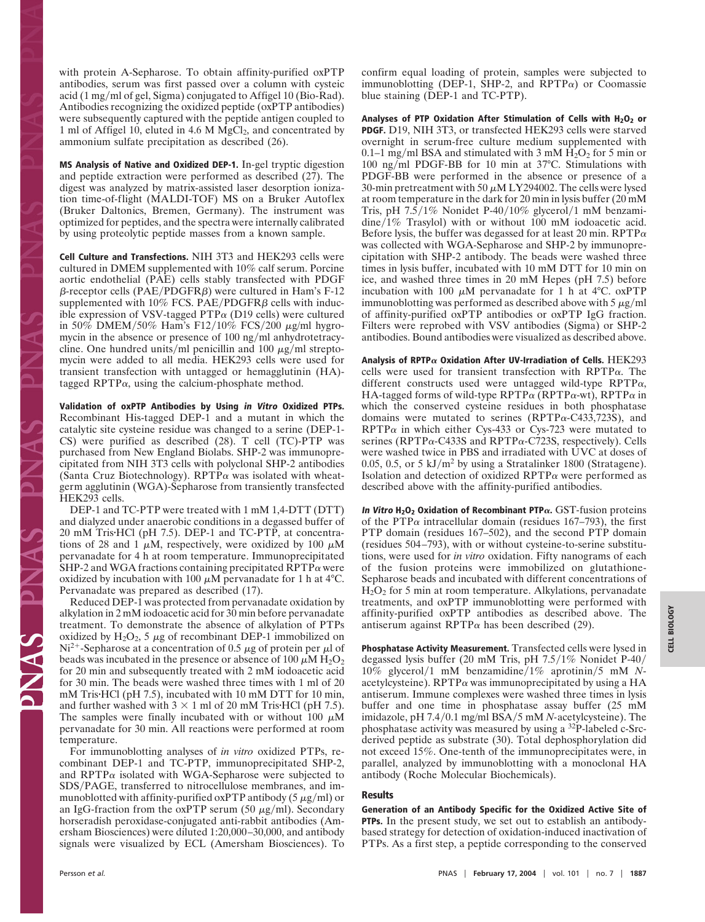with protein A-Sepharose. To obtain affinity-purified oxPTP antibodies, serum was first passed over a column with cysteic acid (1 mg/ml of gel, Sigma) conjugated to Affigel 10 (Bio-Rad). Antibodies recognizing the oxidized peptide (oxPTP antibodies) were subsequently captured with the peptide antigen coupled to 1 ml of Affigel 10, eluted in 4.6 M  $MgCl<sub>2</sub>$ , and concentrated by ammonium sulfate precipitation as described (26).

**MS Analysis of Native and Oxidized DEP-1.** In-gel tryptic digestion and peptide extraction were performed as described (27). The digest was analyzed by matrix-assisted laser desorption ionization time-of-flight (MALDI-TOF) MS on a Bruker Autoflex (Bruker Daltonics, Bremen, Germany). The instrument was optimized for peptides, and the spectra were internally calibrated by using proteolytic peptide masses from a known sample.

**Cell Culture and Transfections.** NIH 3T3 and HEK293 cells were cultured in DMEM supplemented with 10% calf serum. Porcine aortic endothelial (PAE) cells stably transfected with PDGF  $\beta$ -receptor cells (PAE/PDGFR $\beta$ ) were cultured in Ham's F-12 supplemented with 10% FCS. PAE/PDGFR $\beta$  cells with inducible expression of VSV-tagged  $PTP\alpha$  (D19 cells) were cultured in 50% DMEM/50% Ham's F12/10% FCS/200  $\mu$ g/ml hygromycin in the absence or presence of  $100 \text{ ng/ml}$  anhydrotetracycline. One hundred units/ml penicillin and 100  $\mu$ g/ml streptomycin were added to all media. HEK293 cells were used for transient transfection with untagged or hemagglutinin (HA) tagged RPTP $\alpha$ , using the calcium-phosphate method.

**Validation of oxPTP Antibodies by Using in Vitro Oxidized PTPs.** Recombinant His-tagged DEP-1 and a mutant in which the catalytic site cysteine residue was changed to a serine (DEP-1- CS) were purified as described (28). T cell (TC)-PTP was purchased from New England Biolabs. SHP-2 was immunoprecipitated from NIH 3T3 cells with polyclonal SHP-2 antibodies (Santa Cruz Biotechnology). RPTP $\alpha$  was isolated with wheatgerm agglutinin (WGA)-Sepharose from transiently transfected HEK293 cells.

DEP-1 and TC-PTP were treated with 1 mM 1,4-DTT (DTT) and dialyzed under anaerobic conditions in a degassed buffer of 20 mM TrisHCl (pH 7.5). DEP-1 and TC-PTP, at concentrations of 28 and 1  $\mu$ M, respectively, were oxidized by 100  $\mu$ M pervanadate for 4 h at room temperature. Immunoprecipitated SHP-2 and WGA fractions containing precipitated  $RPTP\alpha$  were oxidized by incubation with 100  $\mu$ M pervanadate for 1 h at 4°C. Pervanadate was prepared as described (17).

Reduced DEP-1 was protected from pervanadate oxidation by alkylation in 2 mM iodoacetic acid for 30 min before pervanadate treatment. To demonstrate the absence of alkylation of PTPs oxidized by  $H_2O_2$ , 5  $\mu$ g of recombinant DEP-1 immobilized on Ni<sup>2+</sup>-Sepharose at a concentration of 0.5  $\mu$ g of protein per  $\mu$ l of beads was incubated in the presence or absence of 100  $\mu$ M H<sub>2</sub>O<sub>2</sub> for 20 min and subsequently treated with 2 mM iodoacetic acid for 30 min. The beads were washed three times with 1 ml of 20 mM Tris HCl (pH 7.5), incubated with 10 mM DTT for 10 min, and further washed with  $3 \times 1$  ml of 20 mM Tris HCl (pH 7.5). The samples were finally incubated with or without  $100 \mu M$ pervanadate for 30 min. All reactions were performed at room temperature.

For immunoblotting analyses of *in vitro* oxidized PTPs, recombinant DEP-1 and TC-PTP, immunoprecipitated SHP-2, and RPTP $\alpha$  isolated with WGA-Sepharose were subjected to SDS/PAGE, transferred to nitrocellulose membranes, and immunoblotted with affinity-purified oxPTP antibody (5  $\mu$ g/ml) or an IgG-fraction from the oxPTP serum (50  $\mu$ g/ml). Secondary horseradish peroxidase-conjugated anti-rabbit antibodies (Amersham Biosciences) were diluted 1:20,000–30,000, and antibody signals were visualized by ECL (Amersham Biosciences). To confirm equal loading of protein, samples were subjected to immunoblotting (DEP-1, SHP-2, and RPTP $\alpha$ ) or Coomassie blue staining (DEP-1 and TC-PTP).

Analyses of PTP Oxidation After Stimulation of Cells with H<sub>2</sub>O<sub>2</sub> or **PDGF.** D19, NIH 3T3, or transfected HEK293 cells were starved overnight in serum-free culture medium supplemented with 0.1–1 mg/ml BSA and stimulated with 3 mM  $H_2O_2$  for 5 min or 100 ng/ml PDGF-BB for 10 min at 37 $^{\circ}$ C. Stimulations with PDGF-BB were performed in the absence or presence of a 30-min pretreatment with 50  $\mu$ M LY294002. The cells were lysed at room temperature in the dark for 20 min in lysis buffer (20 mM Tris, pH  $7.5/1\%$  Nonidet P-40/10% glycerol/1 mM benzami $dine/1\%$  Trasylol) with or without 100 mM iodoacetic acid. Before lysis, the buffer was degassed for at least 20 min. RPTP $\alpha$ was collected with WGA-Sepharose and SHP-2 by immunoprecipitation with SHP-2 antibody. The beads were washed three times in lysis buffer, incubated with 10 mM DTT for 10 min on ice, and washed three times in 20 mM Hepes (pH 7.5) before incubation with 100  $\mu$ M pervanadate for 1 h at 4°C. oxPTP immunoblotting was performed as described above with  $5 \mu g/ml$ of affinity-purified oxPTP antibodies or oxPTP IgG fraction. Filters were reprobed with VSV antibodies (Sigma) or SHP-2 antibodies. Bound antibodies were visualized as described above.

**Analysis of RPTP Oxidation After UV-Irradiation of Cells.** HEK293 cells were used for transient transfection with  $RPTP\alpha$ . The different constructs used were untagged wild-type RPTP $\alpha$ , HA-tagged forms of wild-type RPTP $\alpha$  (RPTP $\alpha$ -wt), RPTP $\alpha$  in which the conserved cysteine residues in both phosphatase domains were mutated to serines (RPTP $\alpha$ -C433,723S), and  $RPTP\alpha$  in which either Cys-433 or Cys-723 were mutated to serines (RPTP $\alpha$ -C433S and RPTP $\alpha$ -C723S, respectively). Cells were washed twice in PBS and irradiated with UVC at doses of 0.05, 0.5, or 5  $kJ/m^2$  by using a Stratalinker 1800 (Stratagene). Isolation and detection of oxidized  $RPTP\alpha$  were performed as described above with the affinity-purified antibodies.

**In Vitro H2O2 Oxidation of Recombinant PTP.** GST-fusion proteins of the PTP $\alpha$  intracellular domain (residues 167–793), the first PTP domain (residues 167–502), and the second PTP domain (residues 504–793), with or without cysteine-to-serine substitutions, were used for *in vitro* oxidation. Fifty nanograms of each of the fusion proteins were immobilized on glutathione-Sepharose beads and incubated with different concentrations of  $H_2O_2$  for 5 min at room temperature. Alkylations, pervanadate treatments, and oxPTP immunoblotting were performed with affinity-purified oxPTP antibodies as described above. The antiserum against RPTP $\alpha$  has been described (29).

**Phosphatase Activity Measurement.** Transfected cells were lysed in degassed lysis buffer (20 mM Tris, pH 7.5/1% Nonidet P-40/ 10% glycerol1 mM benzamidine1% aprotinin5 mM *N*acetylcysteine). RPTP $\alpha$  was immunoprecipitated by using a HA antiserum. Immune complexes were washed three times in lysis buffer and one time in phosphatase assay buffer (25 mM imidazole, pH 7.4/0.1 mg/ml BSA/5 mM *N*-acetylcysteine). The phosphatase activity was measured by using a 32P-labeled c-Srcderived peptide as substrate (30). Total dephosphorylation did not exceed 15%. One-tenth of the immunoprecipitates were, in parallel, analyzed by immunoblotting with a monoclonal HA antibody (Roche Molecular Biochemicals).

## **Results**

**Generation of an Antibody Specific for the Oxidized Active Site of PTPs.** In the present study, we set out to establish an antibodybased strategy for detection of oxidation-induced inactivation of PTPs. As a first step, a peptide corresponding to the conserved

PRAS PR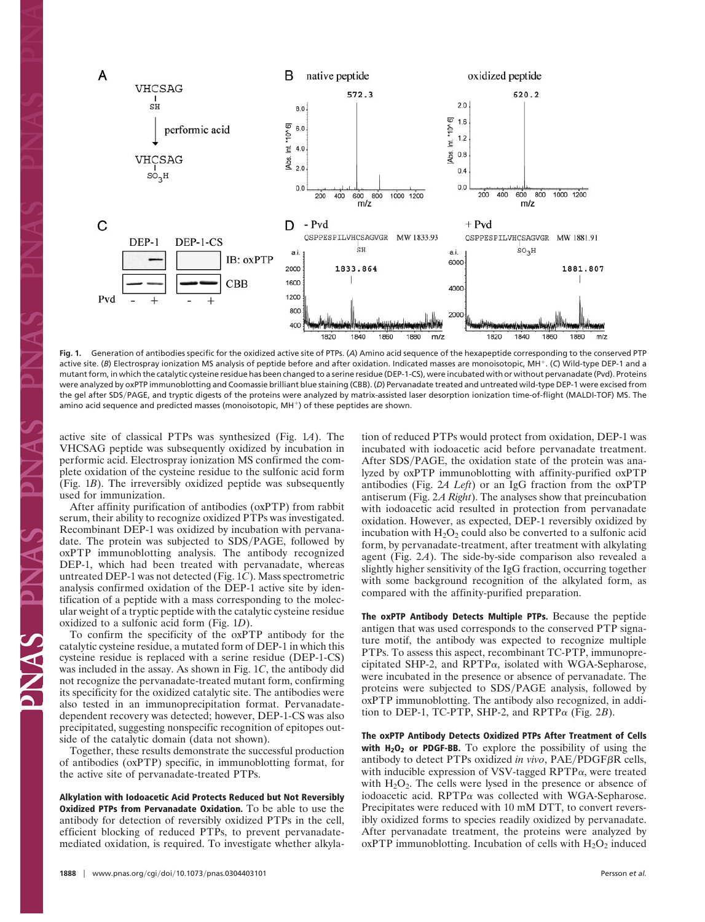

**Fig. 1.** Generation of antibodies specific for the oxidized active site of PTPs. (*A*) Amino acid sequence of the hexapeptide corresponding to the conserved PTP active site. (*B*) Electrospray ionization MS analysis of peptide before and after oxidation. Indicated masses are monoisotopic, MH-. (*C*) Wild-type DEP-1 and a mutant form, in which the catalytic cysteine residue has been changed to a serine residue (DEP-1-CS), were incubated with or without pervanadate (Pvd). Proteins were analyzed by oxPTP immunoblotting and Coomassie brilliant blue staining (CBB). (*D*) Pervanadate treated and untreated wild-type DEP-1 were excised from the gel after SDS/PAGE, and tryptic digests of the proteins were analyzed by matrix-assisted laser desorption ionization time-of-flight (MALDI-TOF) MS. The amino acid sequence and predicted masses (monoisotopic, MH<sup>+</sup>) of these peptides are shown.

active site of classical PTPs was synthesized (Fig. 1*A*). The VHCSAG peptide was subsequently oxidized by incubation in performic acid. Electrospray ionization MS confirmed the complete oxidation of the cysteine residue to the sulfonic acid form (Fig. 1*B*). The irreversibly oxidized peptide was subsequently used for immunization.

After affinity purification of antibodies (oxPTP) from rabbit serum, their ability to recognize oxidized PTPs was investigated. Recombinant DEP-1 was oxidized by incubation with pervanadate. The protein was subjected to SDS/PAGE, followed by oxPTP immunoblotting analysis. The antibody recognized DEP-1, which had been treated with pervanadate, whereas untreated DEP-1 was not detected (Fig. 1*C*). Mass spectrometric analysis confirmed oxidation of the DEP-1 active site by identification of a peptide with a mass corresponding to the molecular weight of a tryptic peptide with the catalytic cysteine residue oxidized to a sulfonic acid form (Fig. 1*D*).

To confirm the specificity of the oxPTP antibody for the catalytic cysteine residue, a mutated form of DEP-1 in which this cysteine residue is replaced with a serine residue (DEP-1-CS) was included in the assay. As shown in Fig. 1*C*, the antibody did not recognize the pervanadate-treated mutant form, confirming its specificity for the oxidized catalytic site. The antibodies were also tested in an immunoprecipitation format. Pervanadatedependent recovery was detected; however, DEP-1-CS was also precipitated, suggesting nonspecific recognition of epitopes outside of the catalytic domain (data not shown).

Together, these results demonstrate the successful production of antibodies (oxPTP) specific, in immunoblotting format, for the active site of pervanadate-treated PTPs.

**Alkylation with Iodoacetic Acid Protects Reduced but Not Reversibly Oxidized PTPs from Pervanadate Oxidation.** To be able to use the antibody for detection of reversibly oxidized PTPs in the cell, efficient blocking of reduced PTPs, to prevent pervanadatemediated oxidation, is required. To investigate whether alkylation of reduced PTPs would protect from oxidation, DEP-1 was incubated with iodoacetic acid before pervanadate treatment. After SDS/PAGE, the oxidation state of the protein was analyzed by oxPTP immunoblotting with affinity-purified oxPTP antibodies (Fig. 2*A Left*) or an IgG fraction from the oxPTP antiserum (Fig. 2*A Right*). The analyses show that preincubation with iodoacetic acid resulted in protection from pervanadate oxidation. However, as expected, DEP-1 reversibly oxidized by incubation with  $H_2O_2$  could also be converted to a sulfonic acid form, by pervanadate-treatment, after treatment with alkylating agent (Fig. 2*A*). The side-by-side comparison also revealed a slightly higher sensitivity of the IgG fraction, occurring together with some background recognition of the alkylated form, as compared with the affinity-purified preparation.

**The oxPTP Antibody Detects Multiple PTPs.** Because the peptide antigen that was used corresponds to the conserved PTP signature motif, the antibody was expected to recognize multiple PTPs. To assess this aspect, recombinant TC-PTP, immunoprecipitated SHP-2, and RPTP $\alpha$ , isolated with WGA-Sepharose, were incubated in the presence or absence of pervanadate. The proteins were subjected to SDS/PAGE analysis, followed by oxPTP immunoblotting. The antibody also recognized, in addition to DEP-1, TC-PTP, SHP-2, and RPTP $\alpha$  (Fig. 2*B*).

**The oxPTP Antibody Detects Oxidized PTPs After Treatment of Cells** with H<sub>2</sub>O<sub>2</sub> or PDGF-BB. To explore the possibility of using the antibody to detect PTPs oxidized in vivo, PAE/PDGF<sub>BR</sub> cells, with inducible expression of VSV-tagged  $RPTP\alpha$ , were treated with  $H_2O_2$ . The cells were lysed in the presence or absence of iodoacetic acid. RPTP $\alpha$  was collected with WGA-Sepharose. Precipitates were reduced with 10 mM DTT, to convert reversibly oxidized forms to species readily oxidized by pervanadate. After pervanadate treatment, the proteins were analyzed by  $oxPTP$  immunoblotting. Incubation of cells with  $H<sub>2</sub>O<sub>2</sub>$  induced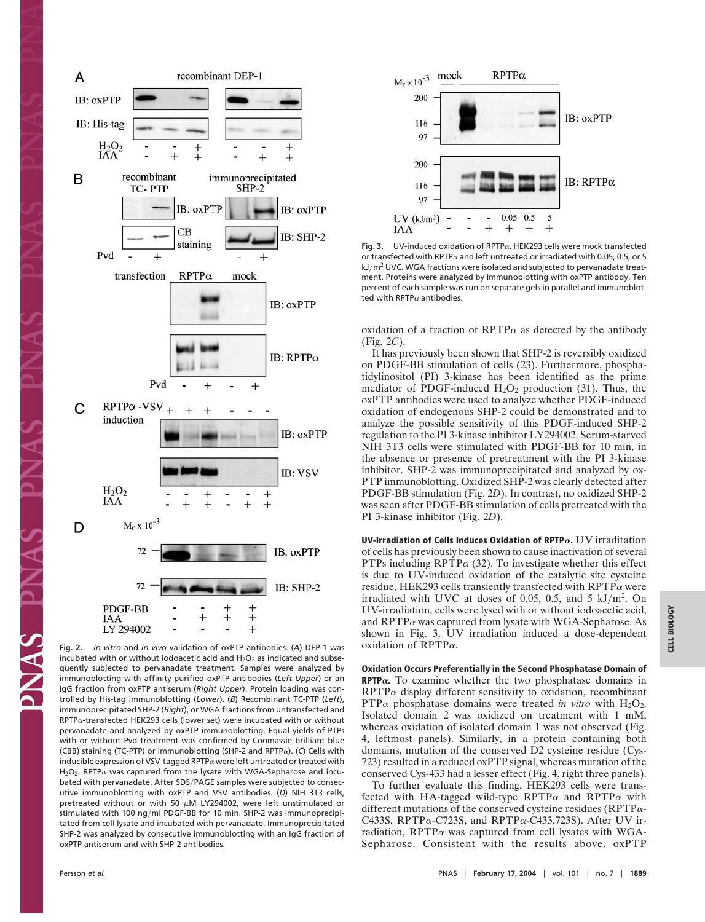

incubated with or without iodoacetic acid and  $H_2O_2$  as indicated and subsequently subjected to pervanadate treatment. Samples were analyzed by immunoblotting with affinity-purified oxPTP antibodies (*Left Upper*) or an IgG fraction from oxPTP antiserum (*Right Upper*). Protein loading was controlled by His-tag immunoblotting (*Lower*). (*B*) Recombinant TC-PTP (*Left*), immunoprecipitated SHP-2 (*Right*), or WGA fractions from untransfected and  $RPTP\alpha$ -transfected HEK293 cells (lower set) were incubated with or without pervanadate and analyzed by oxPTP immunoblotting. Equal yields of PTPs with or without Pvd treatment was confirmed by Coomassie brilliant blue (CBB) staining (TC-PTP) or immunoblotting (SHP-2 and RPTP<sub>a</sub>). (C) Cells with inducible expression of VSV-tagged RPTP $\alpha$  were left untreated or treated with  $H_2O_2$ . RPTP $\alpha$  was captured from the lysate with WGA-Sepharose and incubated with pervanadate. After SDS/PAGE samples were subjected to consecutive immunoblotting with oxPTP and VSV antibodies. (*D*) NIH 3T3 cells, pretreated without or with 50  $\mu$ M LY294002, were left unstimulated or stimulated with 100 ng/ml PDGF-BB for 10 min. SHP-2 was immunoprecipitated from cell lysate and incubated with pervanadate. Immunoprecipitated SHP-2 was analyzed by consecutive immunoblotting with an IgG fraction of oxPTP antiserum and with SHP-2 antibodies.



Fig. 3. UV-induced oxidation of RPTP $\alpha$ . HEK293 cells were mock transfected or transfected with RPTP $\alpha$  and left untreated or irradiated with 0.05, 0.5, or 5  $kJ/m<sup>2</sup>$  UVC. WGA fractions were isolated and subjected to pervanadate treatment. Proteins were analyzed by immunoblotting with oxPTP antibody. Ten percent of each sample was run on separate gels in parallel and immunoblotted with RPTP $\alpha$  antibodies.

oxidation of a fraction of RPTP $\alpha$  as detected by the antibody (Fig. 2*C*).

It has previously been shown that SHP-2 is reversibly oxidized on PDGF-BB stimulation of cells (23). Furthermore, phosphatidylinositol (PI) 3-kinase has been identified as the prime mediator of PDGF-induced  $H_2O_2$  production (31). Thus, the oxPTP antibodies were used to analyze whether PDGF-induced oxidation of endogenous SHP-2 could be demonstrated and to analyze the possible sensitivity of this PDGF-induced SHP-2 regulation to the PI 3-kinase inhibitor LY294002. Serum-starved NIH 3T3 cells were stimulated with PDGF-BB for 10 min, in the absence or presence of pretreatment with the PI 3-kinase inhibitor. SHP-2 was immunoprecipitated and analyzed by ox-PTP immunoblotting. Oxidized SHP-2 was clearly detected after PDGF-BB stimulation (Fig. 2*D*). In contrast, no oxidized SHP-2 was seen after PDGF-BB stimulation of cells pretreated with the PI 3-kinase inhibitor (Fig. 2*D*).

**UV-Irradiation of Cells Induces Oxidation of RPTP.** UV irraditation of cells has previously been shown to cause inactivation of several PTPs including RPTP $\alpha$  (32). To investigate whether this effect is due to UV-induced oxidation of the catalytic site cysteine residue, HEK293 cells transiently transfected with  $\text{RPTP}\alpha$  were irradiated with UVC at doses of 0.05, 0.5, and 5  $kJ/m<sup>2</sup>$ . On UV-irradiation, cells were lysed with or without iodoacetic acid, and  $RPTP\alpha$  was captured from lysate with WGA-Sepharose. As shown in Fig. 3, UV irradiation induced a dose-dependent oxidation of  $RPTP\alpha$ .

**Oxidation Occurs Preferentially in the Second Phosphatase Domain of RPTP** $\alpha$ **. To examine whether the two phosphatase domains in**  $RPTP\alpha$  display different sensitivity to oxidation, recombinant  $PTP\alpha$  phosphatase domains were treated *in vitro* with  $H_2O_2$ . Isolated domain 2 was oxidized on treatment with 1 mM, whereas oxidation of isolated domain 1 was not observed (Fig. 4, leftmost panels). Similarly, in a protein containing both domains, mutation of the conserved D2 cysteine residue (Cys-723) resulted in a reduced oxPTP signal, whereas mutation of the conserved Cys-433 had a lesser effect (Fig. 4, right three panels).

To further evaluate this finding, HEK293 cells were transfected with HA-tagged wild-type RPTP $\alpha$  and RPTP $\alpha$  with different mutations of the conserved cysteine residues ( $RPTP\alpha$ -C433S, RPTP $\alpha$ -C723S, and RPTP $\alpha$ -C433,723S). After UV irradiation, RPTP $\alpha$  was captured from cell lysates with WGA-Sepharose. Consistent with the results above, oxPTP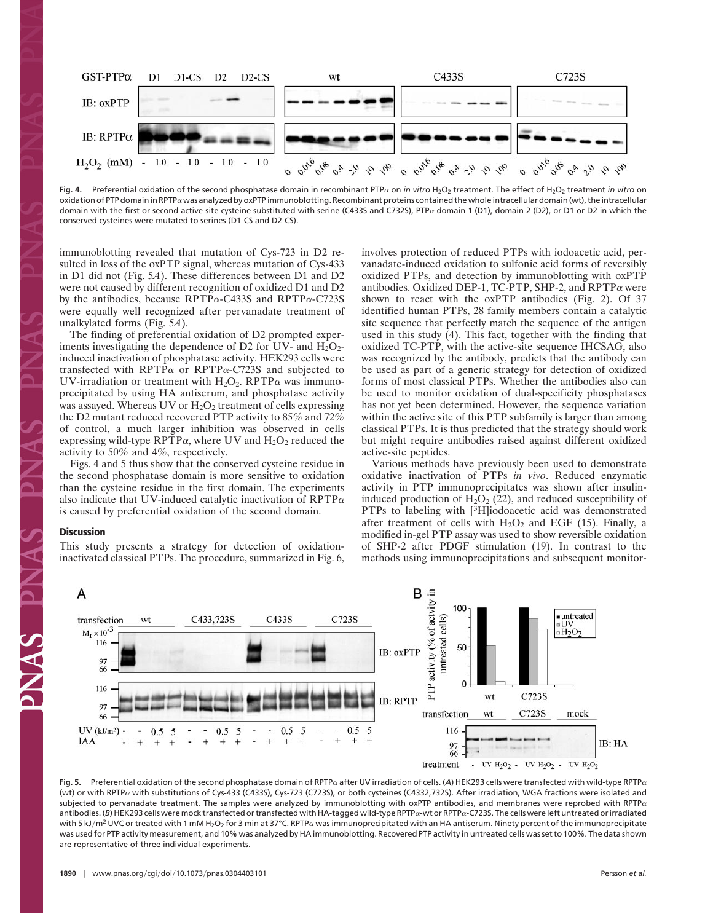

Fig. 4. Preferential oxidation of the second phosphatase domain in recombinant PTPa on *in vitro* H<sub>2</sub>O<sub>2</sub> treatment. The effect of H<sub>2</sub>O<sub>2</sub> treatment *in vitro* on oxidation of PTP domain in RPTP $\alpha$  was analyzed by oxPTP immunoblotting. Recombinant proteins contained the whole intracellular domain (wt), the intracellular domain with the first or second active-site cysteine substituted with serine (C433S and C732S), PTPa domain 1 (D1), domain 2 (D2), or D1 or D2 in which the conserved cysteines were mutated to serines (D1-CS and D2-CS).

immunoblotting revealed that mutation of Cys-723 in D2 resulted in loss of the oxPTP signal, whereas mutation of Cys-433 in D1 did not (Fig. 5*A*). These differences between D1 and D2 were not caused by different recognition of oxidized D1 and D2 by the antibodies, because RPTP $\alpha$ -C433S and RPTP $\alpha$ -C723S were equally well recognized after pervanadate treatment of unalkylated forms (Fig. 5*A*).

The finding of preferential oxidation of D2 prompted experiments investigating the dependence of D2 for UV- and  $H_2O_2$ induced inactivation of phosphatase activity. HEK293 cells were transfected with RPTP $\alpha$  or RPTP $\alpha$ -C723S and subjected to UV-irradiation or treatment with  $H_2O_2$ . RPTP $\alpha$  was immunoprecipitated by using HA antiserum, and phosphatase activity was assayed. Whereas UV or  $H_2O_2$  treatment of cells expressing the D2 mutant reduced recovered PTP activity to 85% and 72% of control, a much larger inhibition was observed in cells expressing wild-type RPTP $\alpha$ , where UV and H<sub>2</sub>O<sub>2</sub> reduced the activity to 50% and 4%, respectively.

Figs. 4 and 5 thus show that the conserved cysteine residue in the second phosphatase domain is more sensitive to oxidation than the cysteine residue in the first domain. The experiments also indicate that UV-induced catalytic inactivation of  $RPTP\alpha$ is caused by preferential oxidation of the second domain.

## **Discussion**

This study presents a strategy for detection of oxidationinactivated classical PTPs. The procedure, summarized in Fig. 6, involves protection of reduced PTPs with iodoacetic acid, pervanadate-induced oxidation to sulfonic acid forms of reversibly oxidized PTPs, and detection by immunoblotting with oxPTP antibodies. Oxidized DEP-1, TC-PTP, SHP-2, and RPTP $\alpha$  were shown to react with the oxPTP antibodies (Fig. 2). Of 37 identified human PTPs, 28 family members contain a catalytic site sequence that perfectly match the sequence of the antigen used in this study (4). This fact, together with the finding that oxidized TC-PTP, with the active-site sequence IHCSAG, also was recognized by the antibody, predicts that the antibody can be used as part of a generic strategy for detection of oxidized forms of most classical PTPs. Whether the antibodies also can be used to monitor oxidation of dual-specificity phosphatases has not yet been determined. However, the sequence variation within the active site of this PTP subfamily is larger than among classical PTPs. It is thus predicted that the strategy should work but might require antibodies raised against different oxidized active-site peptides.

Various methods have previously been used to demonstrate oxidative inactivation of PTPs *in vivo*. Reduced enzymatic activity in PTP immunoprecipitates was shown after insulininduced production of  $H_2O_2$  (22), and reduced susceptibility of PTPs to labeling with [<sup>3</sup>H]iodoacetic acid was demonstrated after treatment of cells with  $H_2O_2$  and EGF (15). Finally, a modified in-gel PTP assay was used to show reversible oxidation of SHP-2 after PDGF stimulation (19). In contrast to the methods using immunoprecipitations and subsequent monitor-